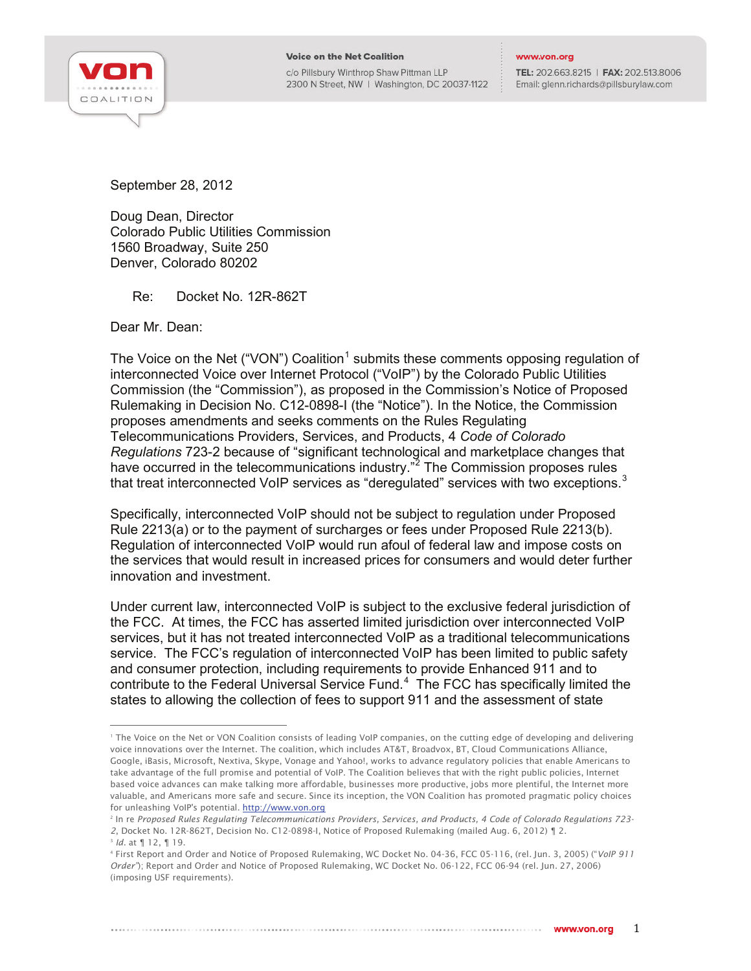

c/o Pillsbury Winthrop Shaw Pittman LLP 2300 N Street, NW | Washington, DC 20037-1122

## www.von.org

TEL: 202.663.8215 | FAX: 202.513.8006 Email: glenn.richards@pillsburylaw.com

September 28, 2012

Doug Dean, Director Colorado Public Utilities Commission 1560 Broadway, Suite 250 Denver, Colorado 80202

Re: Docket No. 12R-862T

Dear Mr. Dean:

The Voice on the Net ("VON") Coalition<sup>[1](#page-0-0)</sup> submits these comments opposing regulation of interconnected Voice over Internet Protocol ("VoIP") by the Colorado Public Utilities Commission (the "Commission"), as proposed in the Commission's Notice of Proposed Rulemaking in Decision No. C12-0898-I (the "Notice"). In the Notice, the Commission proposes amendments and seeks comments on the Rules Regulating Telecommunications Providers, Services, and Products, 4 *Code of Colorado Regulations* 723-2 because of "significant technological and marketplace changes that have occurred in the telecommunications industry."<sup>[2](#page-0-1)</sup> The Commission proposes rules that treat interconnected VoIP services as "deregulated" services with two exceptions.<sup>[3](#page-0-2)</sup>

Specifically, interconnected VoIP should not be subject to regulation under Proposed Rule 2213(a) or to the payment of surcharges or fees under Proposed Rule 2213(b). Regulation of interconnected VoIP would run afoul of federal law and impose costs on the services that would result in increased prices for consumers and would deter further innovation and investment.

Under current law, interconnected VoIP is subject to the exclusive federal jurisdiction of the FCC. At times, the FCC has asserted limited jurisdiction over interconnected VoIP services, but it has not treated interconnected VoIP as a traditional telecommunications service. The FCC's regulation of interconnected VoIP has been limited to public safety and consumer protection, including requirements to provide Enhanced 911 and to contribute to the Federal Universal Service Fund. $4$  The FCC has specifically limited the states to allowing the collection of fees to support 911 and the assessment of state

<span id="page-0-0"></span><sup>&</sup>lt;sup>1</sup> The Voice on the Net or VON Coalition consists of leading VoIP companies, on the cutting edge of developing and delivering voice innovations over the Internet. The coalition, which includes AT&T, Broadvox, BT, Cloud Communications Alliance, Google, iBasis, Microsoft, Nextiva, Skype, Vonage and Yahoo!, works to advance regulatory policies that enable Americans to take advantage of the full promise and potential of VoIP. The Coalition believes that with the right public policies, Internet based voice advances can make talking more affordable, businesses more productive, jobs more plentiful, the Internet more valuable, and Americans more safe and secure. Since its inception, the VON Coalition has promoted pragmatic policy choices for unleashing VoIP's potential. [http://www.von.org](http://www.von.org/) 

<span id="page-0-1"></span><sup>2</sup> In re *Proposed Rules Regulating Telecommunications Providers, Services, and Products, 4 Code of Colorado Regulations 723- 2*, Docket No. 12R-862T, Decision No. C12-0898-I, Notice of Proposed Rulemaking (mailed Aug. 6, 2012) ¶ 2.

<sup>3</sup> *Id.* at ¶ 12, ¶ 19.

<span id="page-0-3"></span><span id="page-0-2"></span><sup>4</sup> First Report and Order and Notice of Proposed Rulemaking, WC Docket No. 04-36, FCC 05-116, (rel. Jun. 3, 2005) ("*VoIP 911 Order"*); Report and Order and Notice of Proposed Rulemaking, WC Docket No. 06-122, FCC 06-94 (rel. Jun. 27, 2006) (imposing USF requirements).